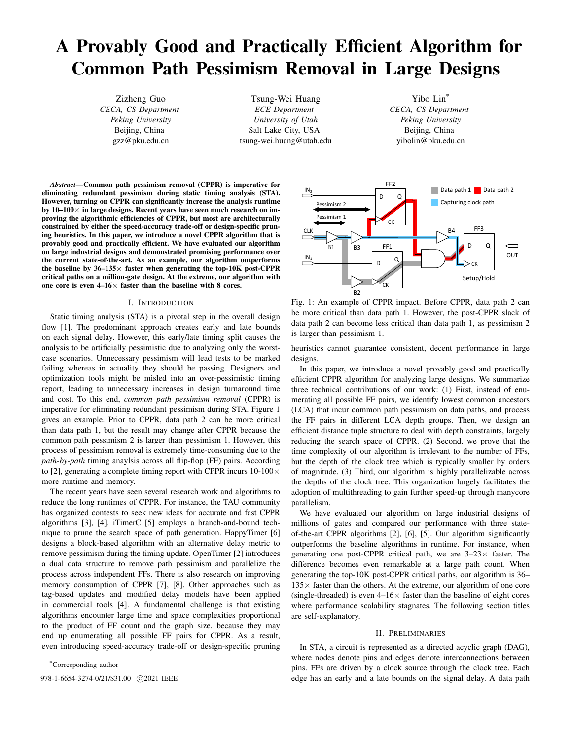# A Provably Good and Practically Efficient Algorithm for Common Path Pessimism Removal in Large Designs

Zizheng Guo *CECA, CS Department Peking University* Beijing, China gzz@pku.edu.cn

Tsung-Wei Huang *ECE Department University of Utah* Salt Lake City, USA tsung-wei.huang@utah.edu

Yibo Lin\* *CECA, CS Department Peking University* Beijing, China yibolin@pku.edu.cn

*Abstract*—Common path pessimism removal (CPPR) is imperative for eliminating redundant pessimism during static timing analysis (STA). However, turning on CPPR can significantly increase the analysis runtime by  $10-100\times$  in large designs. Recent years have seen much research on improving the algorithmic efficiencies of CPPR, but most are architecturally constrained by either the speed-accuracy trade-off or design-specific pruning heuristics. In this paper, we introduce a novel CPPR algorithm that is provably good and practically efficient. We have evaluated our algorithm on large industrial designs and demonstrated promising performance over the current state-of-the-art. As an example, our algorithm outperforms the baseline by  $36-135\times$  faster when generating the top-10K post-CPPR critical paths on a million-gate design. At the extreme, our algorithm with one core is even  $4-16\times$  faster than the baseline with 8 cores.

## I. INTRODUCTION

Static timing analysis (STA) is a pivotal step in the overall design flow [1]. The predominant approach creates early and late bounds on each signal delay. However, this early/late timing split causes the analysis to be artificially pessimistic due to analyzing only the worstcase scenarios. Unnecessary pessimism will lead tests to be marked failing whereas in actuality they should be passing. Designers and optimization tools might be misled into an over-pessimistic timing report, leading to unnecessary increases in design turnaround time and cost. To this end, *common path pessimism removal* (CPPR) is imperative for eliminating redundant pessimism during STA. Figure 1 gives an example. Prior to CPPR, data path 2 can be more critical than data path 1, but the result may change after CPPR because the common path pessimism 2 is larger than pessimism 1. However, this process of pessimism removal is extremely time-consuming due to the *path-by-path* timing anaylsis across all flip-flop (FF) pairs. According to [2], generating a complete timing report with CPPR incurs  $10-100 \times$ more runtime and memory.

The recent years have seen several research work and algorithms to reduce the long runtimes of CPPR. For instance, the TAU community has organized contests to seek new ideas for accurate and fast CPPR algorithms [3], [4]. iTimerC [5] employs a branch-and-bound technique to prune the search space of path generation. HappyTimer [6] designs a block-based algorithm with an alternative delay metric to remove pessimism during the timing update. OpenTimer [2] introduces a dual data structure to remove path pessimism and parallelize the process across independent FFs. There is also research on improving memory consumption of CPPR [7], [8]. Other approaches such as tag-based updates and modified delay models have been applied in commercial tools [4]. A fundamental challenge is that existing algorithms encounter large time and space complexities proportional to the product of FF count and the graph size, because they may end up enumerating all possible FF pairs for CPPR. As a result, even introducing speed-accuracy trade-off or design-specific pruning

\*Corresponding author



Fig. 1: An example of CPPR impact. Before CPPR, data path 2 can be more critical than data path 1. However, the post-CPPR slack of data path 2 can become less critical than data path 1, as pessimism 2 is larger than pessimism 1.

heuristics cannot guarantee consistent, decent performance in large designs.

In this paper, we introduce a novel provably good and practically efficient CPPR algorithm for analyzing large designs. We summarize three technical contributions of our work: (1) First, instead of enumerating all possible FF pairs, we identify lowest common ancestors (LCA) that incur common path pessimism on data paths, and process the FF pairs in different LCA depth groups. Then, we design an efficient distance tuple structure to deal with depth constraints, largely reducing the search space of CPPR. (2) Second, we prove that the time complexity of our algorithm is irrelevant to the number of FFs, but the depth of the clock tree which is typically smaller by orders of magnitude. (3) Third, our algorithm is highly parallelizable across the depths of the clock tree. This organization largely facilitates the adoption of multithreading to gain further speed-up through manycore parallelism.

We have evaluated our algorithm on large industrial designs of millions of gates and compared our performance with three stateof-the-art CPPR algorithms [2], [6], [5]. Our algorithm significantly outperforms the baseline algorithms in runtime. For instance, when generating one post-CPPR critical path, we are  $3-23\times$  faster. The difference becomes even remarkable at a large path count. When generating the top-10K post-CPPR critical paths, our algorithm is 36–  $135\times$  faster than the others. At the extreme, our algorithm of one core (single-threaded) is even  $4-16\times$  faster than the baseline of eight cores where performance scalability stagnates. The following section titles are self-explanatory.

#### II. PRELIMINARIES

In STA, a circuit is represented as a directed acyclic graph (DAG), where nodes denote pins and edges denote interconnections between pins. FFs are driven by a clock source through the clock tree. Each 978-1-6654-3274-0/21/\$31.00  $\odot$ 2021 IEEE edge has an early and a late bounds on the signal delay. A data path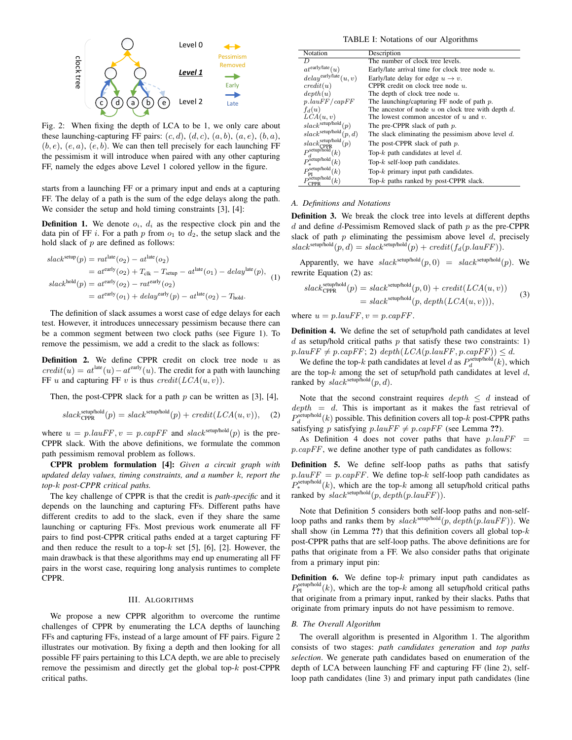

Fig. 2: When fixing the depth of LCA to be 1, we only care about these launching-capturing FF pairs:  $(c, d)$ ,  $(d, c)$ ,  $(a, b)$ ,  $(a, e)$ ,  $(b, a)$ ,  $(b, e), (e, a), (e, b)$ . We can then tell precisely for each launching FF the pessimism it will introduce when paired with any other capturing FF, namely the edges above Level 1 colored yellow in the figure.

starts from a launching FF or a primary input and ends at a capturing FF. The delay of a path is the sum of the edge delays along the path. We consider the setup and hold timing constraints [3], [4]:

**Definition 1.** We denote  $o_i$ ,  $d_i$  as the respective clock pin and the data pin of FF i. For a path p from  $o_1$  to  $d_2$ , the setup slack and the hold slack of  $p$  are defined as follows:

$$
slacksetup(p) = ratlate(o2) - atlate(o2)
$$
  
=  $atearly(o2) + Tclk - Tsetup - atlate(o1) - delaylate(p),$   

$$
slackhold(p) = atearly(o2) - ratearly(o2)
$$
  
=  $atearly(o1) + delayearly(p) - atlate(o2) - Thold.$  (1)

The definition of slack assumes a worst case of edge delays for each test. However, it introduces unnecessary pessimism because there can be a common segment between two clock paths (see Figure 1). To remove the pessimism, we add a credit to the slack as follows:

**Definition 2.** We define CPPR credit on clock tree node  $u$  as  $credit(u) = at^{\text{late}}(u) - at^{\text{early}}(u)$ . The credit for a path with launching FF u and capturing FF v is thus  $\text{credit}(LCA(u, v)).$ 

Then, the post-CPPR slack for a path  $p$  can be written as [3], [4],

$$
slack_{\text{CPPR}}^{\text{setup/hold}}(p) = slack^{\text{setup/hold}}(p) + credit(LCA(u, v)), \quad (2)
$$

where  $u = p \cdot \text{la} u = p \cdot \text{cap} FF$  and  $\text{succ}^{\text{setup/hold}}(p)$  is the pre-CPPR slack. With the above definitions, we formulate the common path pessimism removal problem as follows.

CPPR problem formulation [4]: *Given a circuit graph with updated delay values, timing constraints, and a number* k*, report the top-*k *post-CPPR critical paths.*

The key challenge of CPPR is that the credit is *path-specific* and it depends on the launching and capturing FFs. Different paths have different credits to add to the slack, even if they share the same launching or capturing FFs. Most previous work enumerate all FF pairs to find post-CPPR critical paths ended at a target capturing FF and then reduce the result to a top-k set [5], [6], [2]. However, the main drawback is that these algorithms may end up enumerating all FF pairs in the worst case, requiring long analysis runtimes to complete CPPR.

# III. ALGORITHMS

We propose a new CPPR algorithm to overcome the runtime challenges of CPPR by enumerating the LCA depths of launching FFs and capturing FFs, instead of a large amount of FF pairs. Figure 2 illustrates our motivation. By fixing a depth and then looking for all possible FF pairs pertaining to this LCA depth, we are able to precisely remove the pessimism and directly get the global top- $k$  post-CPPR critical paths.

TABLE I: Notations of our Algorithms

| Notation<br>Pessimism                                                  | Description                                             |  |  |  |  |  |  |  |
|------------------------------------------------------------------------|---------------------------------------------------------|--|--|--|--|--|--|--|
| $\left( \right)$<br>Removed                                            | The number of clock tree levels.                        |  |  |  |  |  |  |  |
| $at^{\text{early/late}}(u)$                                            | Early/late arrival time for clock tree node $u$ .       |  |  |  |  |  |  |  |
| $delay^{\text{early/late}}(u, v)$                                      | Early/late delay for edge $u \rightarrow v$ .           |  |  |  |  |  |  |  |
| Early<br>credit(u)                                                     | CPPR credit on clock tree node $u$ .                    |  |  |  |  |  |  |  |
| depth(u)<br>$\rightarrow$                                              | The depth of clock tree node $u$ .                      |  |  |  |  |  |  |  |
| $p. \vert \textit{auFF} / \textit{capFF}$<br>Late                      | The launching/capturing FF node of path $p$ .           |  |  |  |  |  |  |  |
| $f_d(u)$                                                               | The ancestor of node $u$ on clock tree with depth $d$ . |  |  |  |  |  |  |  |
| LCA(u, v)                                                              | The lowest common ancestor of $u$ and $v$ .             |  |  |  |  |  |  |  |
| slack <sup>setup/hold</sup> (p)<br>e only care about                   | The pre-CPPR slack of path $p$ .                        |  |  |  |  |  |  |  |
| slack <sup>setup/hold</sup> (p, d)<br>(a, b), (a, e), (b, a),          | The slack eliminating the pessimism above level $d$ .   |  |  |  |  |  |  |  |
| $slack_{\text{CPPR}}^{\text{setup/hold}}(p)$<br>each launching FF      | The post-CPPR slack of path $p$ .                       |  |  |  |  |  |  |  |
| $P_d^{\text{setup/hold}}(k)$<br>ny other capturing                     | Top- $k$ path candidates at level $d$ .                 |  |  |  |  |  |  |  |
| $P_*^{\text{setup/hold}}(k)$                                           | Top- $k$ self-loop path candidates.                     |  |  |  |  |  |  |  |
| in the figure.<br>$P_{\rm PI}^{\rm setup/hold}$ /<br>(k)               | Top- $k$ primary input path candidates.                 |  |  |  |  |  |  |  |
| $P^{\text{Ptup/hold}}_{\text{in}}(k)$<br><b>CPPR</b><br>$\blacksquare$ | Top- $k$ paths ranked by post-CPPR slack.               |  |  |  |  |  |  |  |

#### *A. Definitions and Notations*

Definition 3. We break the clock tree into levels at different depths  $d$  and define  $d$ -Pessimism Removed slack of path  $p$  as the pre-CPPR slack of path  $p$  eliminating the pessimism above level  $d$ , precisely  $slack^{\text{setup/hold}}(p, d) = slack^{\text{setup/hold}}(p) + credit(f_d(p.la u FF)).$ 

Apparently, we have  $slack<sup>setup/hold</sup>(p, 0) = slack<sup>setup/hold</sup>(p)$ . We rewrite Equation (2) as:

$$
slack_{\text{CPPR}}^{\text{setup/hold}}(p) = slack^{\text{setup/hold}}(p, 0) + credit(LCA(u, v))
$$
  
= 
$$
slack^{\text{setup/hold}}(p, depth(LCA(u, v))),
$$
 (3)

where  $u = p \cdot \text{la} u$  = p.capFF.

Definition 4. We define the set of setup/hold path candidates at level  $d$  as setup/hold critical paths  $p$  that satisfy these two constraints: 1)  $p. \text{la u}FF \neq p.\text{cap}FF$ ; 2)  $\text{depth}(LCA(p. \text{la u}FF, p.\text{cap}FF)) \leq d$ .

We define the top-k path candidates at level d as  $P_d^{\text{setup/hold}}(k)$ , which are the top- $k$  among the set of setup/hold path candidates at level  $d$ , ranked by  $slack^{\text{setup/hold}}(p, d)$ .

Note that the second constraint requires  $depth \leq d$  instead of  $depth = d$ . This is important as it makes the fast retrieval of  $P_d^{\text{setup/hold}}(k)$  possible. This definition covers all top- $k$  post-CPPR paths satisfying p satisfying  $p\cdot \text{la}u$   $\in F \neq p\cdot \text{cap}$  FF (see Lemma ??).

As Definition 4 does not cover paths that have  $p, lauFF$  = p.capFF, we define another type of path candidates as follows:

Definition 5. We define self-loop paths as paths that satisfy  $p. \text{la} uFF = p. \text{cap} FF$ . We define top-k self-loop path candidates as  $P_*^{\text{setup/hold}}(k)$ , which are the top-k among all setup/hold critical paths ranked by  $slack^{\text{setup/hold}}(p, depth(p, lauFF)).$ 

Note that Definition 5 considers both self-loop paths and non-selfloop paths and ranks them by  $slack^{\text{setup/hold}}(p, depth(p, lawFF))$ . We shall show (in Lemma ??) that this definition covers all global top- $k$ post-CPPR paths that are self-loop paths. The above definitions are for paths that originate from a FF. We also consider paths that originate from a primary input pin:

**Definition 6.** We define top- $k$  primary input path candidates as  $P_{\text{PI}}^{\text{setup/hold}}(k)$ , which are the top-k among all setup/hold critical paths that originate from a primary input, ranked by their slacks. Paths that originate from primary inputs do not have pessimism to remove.

## *B. The Overall Algorithm*

The overall algorithm is presented in Algorithm 1. The algorithm consists of two stages: *path candidates generation* and *top paths selection*. We generate path candidates based on enumeration of the depth of LCA between launching FF and capturing FF (line 2), selfloop path candidates (line 3) and primary input path candidates (line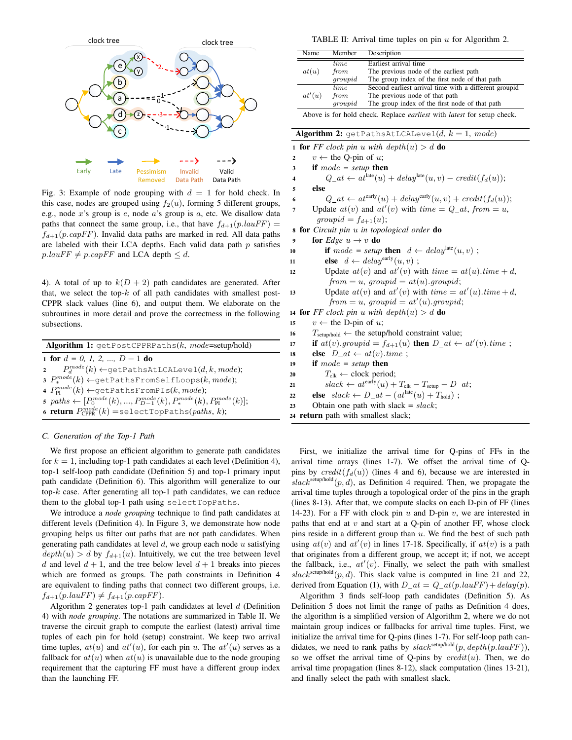

e.g., node x's group is e, node a's group is a, etc. We disallow data Fig. 3: Example of node grouping with  $d = 1$  for hold check. In this case, nodes are grouped using  $f_2(u)$ , forming 5 different groups, paths that connect the same group, i.e., that have  $f_{d+1}(p.lauFF)$  =  $f_{d+1}(p.capFF)$ . Invalid data paths are marked in red. All data paths are labeled with their LCA depths. Each valid data path  $p$  satisfies  $p. \text{la} uFF \neq p. \text{cap} FF$  and LCA depth  $\leq d$ .

4). A total of up to  $k(D + 2)$  path candidates are generated. After that, we select the top- $k$  of all path candidates with smallest post-CPPR slack values (line 6), and output them. We elaborate on the subroutines in more detail and prove the correctness in the following subsections.

| <b>Algorithm 1:</b> $getPostCPPRPaths(k, mode=setup/hold)$                                         |
|----------------------------------------------------------------------------------------------------|
| 1 for $d = 0, 1, 2, , D - 1$ do                                                                    |
| 2 $P_d^{mode}(k) \leftarrow$ getPathsAtLCALevel $(d, k, mode);$                                    |
| $\mathfrak{p}$ , $P_*^{mode}(k) \leftarrow$ getPathsFromSelfLoops(k, mode);                        |
| 4 $P_{\text{PI}}^{mode}(k) \leftarrow \text{getPathsFromPIs}(k, mode);$                            |
| 5 $paths \leftarrow [P_0^{mode}(k), , P_{D-1}^{mode}(k), P_*^{mode}(k), P_{\text{PI}}^{mode}(k)];$ |
| 6 <b>return</b> $P_{\text{CPPR}}^{mode}(k)$ =selectTopPaths( <i>paths, k</i> );                    |

## *C. Generation of the Top-1 Path*

We first propose an efficient algorithm to generate path candidates for  $k = 1$ , including top-1 path candidates at each level (Definition 4), top-1 self-loop path candidate (Definition 5) and top-1 primary input path candidate (Definition 6). This algorithm will generalize to our top- $k$  case. After generating all top-1 path candidates, we can reduce them to the global top-1 path using selectTopPaths.

We introduce a *node grouping* technique to find path candidates at different levels (Definition 4). In Figure 3, we demonstrate how node grouping helps us filter out paths that are not path candidates. When generating path candidates at level  $d$ , we group each node  $u$  satisfying  $depth(u) > d$  by  $f_{d+1}(u)$ . Intuitively, we cut the tree between level d and level  $d + 1$ , and the tree below level  $d + 1$  breaks into pieces which are formed as groups. The path constraints in Definition 4 are equivalent to finding paths that connect two different groups, i.e.  $f_{d+1}(p.lauFF) \neq f_{d+1}(p.capFF).$ 

Algorithm 2 generates top-1 path candidates at level  $d$  (Definition 4) with *node grouping*. The notations are summarized in Table II. We traverse the circuit graph to compute the earliest (latest) arrival time tuples of each pin for hold (setup) constraint. We keep two arrival time tuples,  $at(u)$  and  $at'(u)$ , for each pin u. The  $at'(u)$  serves as a fallback for  $at(u)$  when  $at(u)$  is unavailable due to the node grouping requirement that the capturing FF must have a different group index than the launching FF.

TABLE II: Arrival time tuples on pin  $u$  for Algorithm 2.

| Name                                                                                | Member  | Description                                           |  |  |  |  |
|-------------------------------------------------------------------------------------|---------|-------------------------------------------------------|--|--|--|--|
|                                                                                     | time    | Earliest arrival time                                 |  |  |  |  |
| at(u)                                                                               | from    | The previous node of the earliest path                |  |  |  |  |
|                                                                                     | groupid | The group index of the first node of that path        |  |  |  |  |
|                                                                                     | time.   | Second earliest arrival time with a different groupid |  |  |  |  |
| at'(u)                                                                              | from    | The previous node of that path                        |  |  |  |  |
|                                                                                     | groupid | The group index of the first node of that path        |  |  |  |  |
| Above is for hold check. Replace <i>earliest</i> with <i>latest</i> for setup check |         |                                                       |  |  |  |  |

|                | Above is for hold check. Replace <i>earliest</i> with <i>latest</i> for setup check.                                                                         |
|----------------|--------------------------------------------------------------------------------------------------------------------------------------------------------------|
|                | <b>Algorithm 2:</b> getPathsAtLCALevel( $d$ , $k = 1$ , mode)                                                                                                |
|                | <b>1 for</b> FF clock pin u with $depth(u) > d$ do                                                                                                           |
| $\overline{2}$ | $v \leftarrow$ the Q-pin of u;                                                                                                                               |
| 3              | if $mode = setup$ then                                                                                                                                       |
| 4              | $Q_{-}at \leftarrow at^{\text{late}}(u) + delay^{\text{late}}(u, v) - credit(f_d(u));$                                                                       |
| 5              | else                                                                                                                                                         |
| 6              | $Q_{-}at \leftarrow at^{\text{early}}(u) + delay^{\text{early}}(u, v) + credit(f_d(u));$                                                                     |
| 7              | Update $at(v)$ and $at'(v)$ with $time = Q_at$ , from $=u$ ,                                                                                                 |
|                | $groupid = f_{d+1}(u);$                                                                                                                                      |
|                | <b>s</b> for Circuit pin u in topological order do                                                                                                           |
| 9              | for <i>Edge</i> $u \rightarrow v$ do                                                                                                                         |
| 10             | if mode = setup then $d \leftarrow delay^{\text{late}}(u, v)$ ;                                                                                              |
| 11             | <b>else</b> $d \leftarrow delay^{early}(u, v)$ ;                                                                                                             |
| 12             | Update $at(v)$ and $at'(v)$ with $time = at(u).time + d$ ,                                                                                                   |
|                | $from = u$ , $groupid = at(u)$ .groupid;                                                                                                                     |
| 13             | Update $at(v)$ and $at'(v)$ with $time = at'(u) . time + d$ ,                                                                                                |
|                | from $=u$ , groupid $=$ at'(u).groupid;                                                                                                                      |
|                | 14 for FF clock pin u with $depth(u) > d$ do                                                                                                                 |
| 15             | $v \leftarrow$ the D-pin of u;                                                                                                                               |
| 16             | $T_{\text{setup/hold}} \leftarrow$ the setup/hold constraint value;                                                                                          |
| 17             | if $at(v)$ .groupid = $f_{d+1}(u)$ then $D_{-}at \leftarrow at'(v)$ .time;                                                                                   |
| 18             | else $D_{at} \leftarrow at(v).time;$                                                                                                                         |
| 19             | if $mode = setup$ then                                                                                                                                       |
| 20             | $T_{\text{clk}} \leftarrow \text{clock period};$                                                                                                             |
| 21             | $slack \leftarrow at^{\text{early}}(u) + T_{\text{clk}} - T_{\text{setup}} - D_{\text{}}at;$<br>else $slack \leftarrow D_{at} - (at^{late}(u) + T_{hold})$ ; |
| 22<br>23       | Obtain one path with slack = $slack$ ;                                                                                                                       |
|                |                                                                                                                                                              |
|                | 24 return path with smallest slack;                                                                                                                          |

arrival time arrays (lines 1-7). We offset the arrival time of Qpins by  $credit(f_d(u))$  (lines 4 and 6), because we are interested in  $s \leq s \leq s$ <sup>setup/hold</sup> $(p, d)$ , as Definition 4 required. Then, we propagate the arrival time tuples through a topological order of the pins in the graph (lines 8-13). After that, we compute slacks on each D-pin of FF (lines 14-23). For a FF with clock pin  $u$  and D-pin  $v$ , we are interested in paths that end at  $v$  and start at a Q-pin of another FF, whose clock pins reside in a different group than  $u$ . We find the best of such path using  $at(v)$  and  $at'(v)$  in lines 17-18. Specifically, if  $at(v)$  is a path that originates from a different group, we accept it; if not, we accept the fallback, i.e.,  $at'(v)$ . Finally, we select the path with smallest  $slack<sup>setup/hold</sup>(p, d)$ . This slack value is computed in line 21 and 22, derived from Equation (1), with  $D_{at} = Q_{at}(p.la F) + delay(p).$ 

Algorithm 3 finds self-loop path candidates (Definition 5). As Definition 5 does not limit the range of paths as Definition 4 does, the algorithm is a simplified version of Algorithm 2, where we do not maintain group indices or fallbacks for arrival time tuples. First, we initialize the arrival time for Q-pins (lines 1-7). For self-loop path candidates, we need to rank paths by  $slack^{setup/hold}(p, depth(p.lauFF)),$ so we offset the arrival time of Q-pins by  $\text{credit}(u)$ . Then, we do arrival time propagation (lines 8-12), slack computation (lines 13-21), and finally select the path with smallest slack.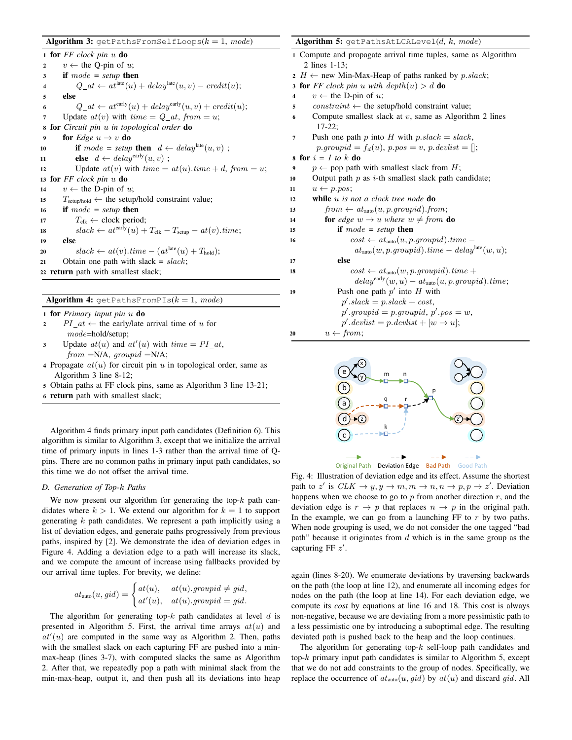|                         | <b>Algorithm 3:</b> $q$ etPathsFromSelfLoops $(k = 1, mode)$                              |
|-------------------------|-------------------------------------------------------------------------------------------|
|                         | 1 for $FF$ clock pin $u$ do                                                               |
| $\overline{2}$          | $v \leftarrow$ the Q-pin of u;                                                            |
| 3                       | if $mode = setup$ then                                                                    |
| $\overline{\mathbf{4}}$ | $Q_{-}at \leftarrow at^{\text{late}}(u) + delay^{\text{late}}(u, v) - credit(u);$         |
| 5                       | else                                                                                      |
| 6                       | $Q_{-}at \leftarrow at^{\text{early}}(u) + delay^{\text{early}}(u, v) + credit(u);$       |
| 7                       | Update $at(v)$ with $time = Q_at$ , from $=u$ ;                                           |
| 8                       | <b>for</b> Circuit pin u in topological order <b>do</b>                                   |
| 9                       | for <i>Edge</i> $u \rightarrow v$ do                                                      |
| 10                      | if mode = setup then $d \leftarrow delay^{\text{late}}(u, v)$ ;                           |
| 11                      | <b>else</b> $d \leftarrow delay^{early}(u, v)$ ;                                          |
| 12                      | Update $at(v)$ with $time = at(u).time + d$ , from = u;                                   |
|                         | 13 for $FF$ clock pin $u$ do                                                              |
| 14                      | $v \leftarrow$ the D-pin of u;                                                            |
| 15                      | $T_{\text{setup/hold}} \leftarrow$ the setup/hold constraint value;                       |
| 16                      | if $mode = setup$ then                                                                    |
| 17                      | $T_{\text{clk}} \leftarrow$ clock period;                                                 |
| 18                      | $slack \leftarrow at^{\text{early}}(u) + T_{\text{clk}} - T_{\text{setup}} - at(v).time;$ |
| 19                      | else                                                                                      |
| 20                      | $slack \leftarrow at(v).time - (at^{\text{late}}(u) + T_{\text{hold}});$                  |
| 21                      | Obtain one path with slack = $slack$ ;                                                    |
|                         | 22 <b>return</b> path with smallest slack;                                                |
|                         |                                                                                           |
|                         |                                                                                           |

<sup>1</sup> for *Primary input pin* u do

- 2 PI\_at  $\leftarrow$  the early/late arrival time of u for mode=hold/setup;
- 3 Update  $at(u)$  and  $at'(u)$  with  $time = PI_{at}$ ,  $from = N/A$ ,  $groupid = N/A$ ;

Algorithm 4: getPathsFromPIs( $k = 1$ , mode)

- 4 Propagate  $at(u)$  for circuit pin u in topological order, same as Algorithm 3 line 8-12;
- <sup>5</sup> Obtain paths at FF clock pins, same as Algorithm 3 line 13-21;
- <sup>6</sup> return path with smallest slack;

Algorithm 4 finds primary input path candidates (Definition 6). This algorithm is similar to Algorithm 3, except that we initialize the arrival time of primary inputs in lines 1-3 rather than the arrival time of Qpins. There are no common paths in primary input path candidates, so this time we do not offset the arrival time.

# *D. Generation of Top-*k *Paths*

We now present our algorithm for generating the top- $k$  path candidates where  $k > 1$ . We extend our algorithm for  $k = 1$  to support generating  $k$  path candidates. We represent a path implicitly using a list of deviation edges, and generate paths progressively from previous paths, inspired by [2]. We demonstrate the idea of deviation edges in Figure 4. Adding a deviation edge to a path will increase its slack, and we compute the amount of increase using fallbacks provided by our arrival time tuples. For brevity, we define:

$$
at_{\text{auto}}(u, gid) = \begin{cases} at(u), & at(u).groupid \neq gid, \\ at'(u), & at(u).groupid = gid. \end{cases}
$$

The algorithm for generating top- $k$  path candidates at level  $d$  is presented in Algorithm 5. First, the arrival time arrays  $at(u)$  and  $at'(u)$  are computed in the same way as Algorithm 2. Then, paths with the smallest slack on each capturing FF are pushed into a minmax-heap (lines 3-7), with computed slacks the same as Algorithm 2. After that, we repeatedly pop a path with minimal slack from the min-max-heap, output it, and then push all its deviations into heap

| <b>Algorithm 5:</b> $q$ etPathsAtLCALevel $(d, k, mode)$                |
|-------------------------------------------------------------------------|
| 1 Compute and propagate arrival time tuples, same as Algorithm          |
| 2 lines $1-13$ ;                                                        |
| 2 $H \leftarrow$ new Min-Max-Heap of paths ranked by p.slack;           |
| <b>3 for</b> FF clock pin u with $depth(u) > d$ do                      |
| $v \leftarrow$ the D-pin of u;<br>4                                     |
| $constraint \leftarrow$ the setup/hold constraint value;<br>5           |
| Compute smallest slack at $v$ , same as Algorithm 2 lines<br>6          |
| $17-22$ ;                                                               |
| Push one path p into H with $p.\text{slack} = \text{slack}$ ,<br>7      |
| $p.groupid = f_d(u), p.pos = v, p.devlist = [];$                        |
| s for $i = 1$ to k do                                                   |
| $p \leftarrow$ pop path with smallest slack from H;<br>$\boldsymbol{9}$ |
| Output path $p$ as <i>i</i> -th smallest slack path candidate;<br>10    |
| $u \leftarrow p.pos;$<br>11                                             |
| while $u$ is not a clock tree node $\bf{do}$<br>12                      |
| $from \leftarrow at_{\text{auto}}(u, p, groupid).from;$<br>13           |
| <b>for</b> edge $w \rightarrow u$ where $w \neq$ from <b>do</b><br>14   |
| if $mode = setup$ then<br>15                                            |
| $cost \leftarrow at_{\text{auto}}(u, p, qroupid).time$<br>16            |
| $at_{\text{auto}}(w, p, groupid).time - delay^{\text{late}}(w, u);$     |
| else<br>17                                                              |
| $cost \leftarrow at_{\text{auto}}(w, p, qroupid).time +$<br>18          |
| $delay^{\text{early}}(w, u) - at_{\text{auto}}(u, p.groupid).time;$     |
| Push one path $p'$ into H with<br>19                                    |
| $p'.slack = p. slack + cost,$                                           |
| $p'.groupid = p.groupid, p'.pos = w,$                                   |
| $p'.\text{devlist} = p.\text{devlist} + [w \rightarrow u];$             |
| $u \leftarrow from;$<br>20                                              |



Fig. 4: Illustration of deviation edge and its effect. Assume the shortest path to z' is  $CLK \rightarrow y, y \rightarrow m, m \rightarrow n, n \rightarrow p, p \rightarrow z'$ . Deviation happens when we choose to go to  $p$  from another direction  $r$ , and the deviation edge is  $r \to p$  that replaces  $n \to p$  in the original path. In the example, we can go from a launching FF to  $r$  by two paths. When node grouping is used, we do not consider the one tagged "bad path" because it originates from  $d$  which is in the same group as the capturing FF  $z'$ .

again (lines 8-20). We enumerate deviations by traversing backwards on the path (the loop at line 12), and enumerate all incoming edges for nodes on the path (the loop at line 14). For each deviation edge, we compute its *cost* by equations at line 16 and 18. This cost is always non-negative, because we are deviating from a more pessimistic path to a less pessimistic one by introducing a suboptimal edge. The resulting deviated path is pushed back to the heap and the loop continues.

The algorithm for generating top- $k$  self-loop path candidates and top- $k$  primary input path candidates is similar to Algorithm 5, except that we do not add constraints to the group of nodes. Specifically, we replace the occurrence of  $at_{\text{auto}}(u, gid)$  by  $at(u)$  and discard gid. All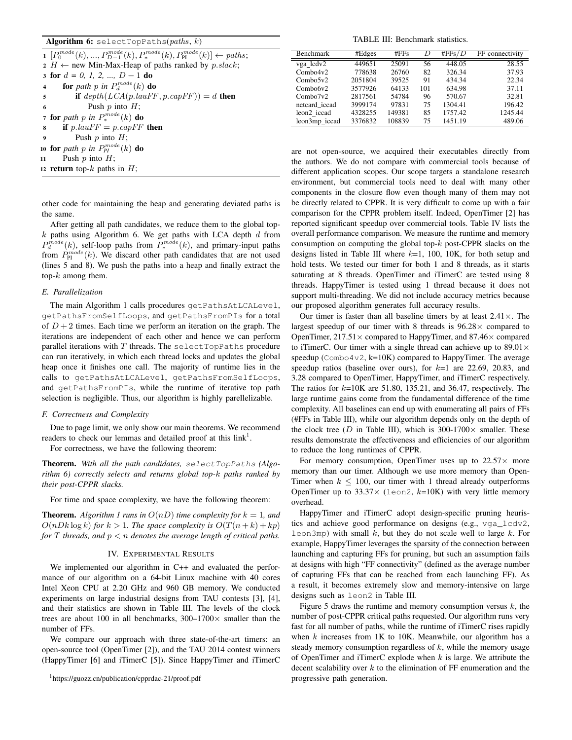## Algorithm 6: selectTopPaths( $paths, k$ )

**1**  $[P_0^{mode}(k), ..., P_{D-1}^{mode}(k), P_{*}^{mode}(k), P_{PI}^{mode}(k)]$  ← paths;  $2 H \leftarrow$  new Min-Max-Heap of paths ranked by  $p\_slack$ ; <sup>3</sup> for d *= 0, 1, 2, ...,* D − 1 do **4 for** path p in  $P_d^{mode}(k)$  **do** 5 if  $depth(LCA(p.lauFF, p.capFF)) = d$  then 6 Push  $p$  into  $H$ ; 7 for *path* p in  $P_*^{mode}(k)$  do **8** if  $p\text{.}lauFF = p\text{.}capFF$  then Push  $p$  into  $H$ ; 10 for *path* p in  $P_P^{mode}(k)$  do 11 Push  $p$  into  $H$ ; 12 return top- $k$  paths in  $H$ ;

other code for maintaining the heap and generating deviated paths is the same.

After getting all path candidates, we reduce them to the global top $k$  paths using Algorithm 6. We get paths with LCA depth  $d$  from  $P_d^{mode}(k)$ , self-loop paths from  $P_*^{mode}(k)$ , and primary-input paths from  $P_{\rm PI}^{mode}(k)$ . We discard other path candidates that are not used (lines 5 and 8). We push the paths into a heap and finally extract the top- $k$  among them.

## *E. Parallelization*

The main Algorithm 1 calls procedures getPathsAtLCALevel, getPathsFromSelfLoops, and getPathsFromPIs for a total of  $D + 2$  times. Each time we perform an iteration on the graph. The iterations are independent of each other and hence we can perform parallel iterations with  $T$  threads. The select TopPaths procedure can run iteratively, in which each thread locks and updates the global heap once it finishes one call. The majority of runtime lies in the calls to getPathsAtLCALevel, getPathsFromSelfLoops, and getPathsFromPIs, while the runtime of iterative top path selection is negligible. Thus, our algorithm is highly parellelizable.

## *F. Correctness and Complexity*

Due to page limit, we only show our main theorems. We recommend readers to check our lemmas and detailed proof at this  $link<sup>1</sup>$ .

For correctness, we have the following theorem:

Theorem. *With all the path candidates,* selectTopPaths *(Algorithm 6) correctly selects and returns global top-*k *paths ranked by their post-CPPR slacks.*

For time and space complexity, we have the following theorem:

**Theorem.** Algorithm 1 runs in  $O(nD)$  time complexity for  $k = 1$ , and  $O(nDk \log k)$  *for*  $k > 1$ *. The space complexity is*  $O(T(n+k) + kp)$ *for*  $T$  *threads, and*  $p < n$  *denotes the average length of critical paths.* 

## IV. EXPERIMENTAL RESULTS

We implemented our algorithm in C++ and evaluated the performance of our algorithm on a 64-bit Linux machine with 40 cores Intel Xeon CPU at 2.20 GHz and 960 GB memory. We conducted experiments on large industrial designs from TAU contests [3], [4], and their statistics are shown in Table III. The levels of the clock trees are about 100 in all benchmarks,  $300-1700\times$  smaller than the number of FFs.

We compare our approach with three state-of-the-art timers: an open-source tool (OpenTimer [2]), and the TAU 2014 contest winners (HappyTimer [6] and iTimerC [5]). Since HappyTimer and iTimerC

TABLE III: Benchmark statistics.

| <b>Benchmark</b>        | #Edges  | #FFS   | D   | #FFs/D  | FF connectivity |
|-------------------------|---------|--------|-----|---------|-----------------|
| vga lcdv2               | 449651  | 25091  | 56  | 448.05  | 28.55           |
| Combo4v2                | 778638  | 26760  | 82  | 326.34  | 37.93           |
| Combo5v2                | 2051804 | 39525  | 91  | 434.34  | 22.34           |
| Combo6v2                | 3577926 | 64133  | 101 | 634.98  | 37.11           |
| Combo7v2                | 2817561 | 54784  | 96  | 570.67  | 32.81           |
| netcard iccad           | 3999174 | 97831  | 75  | 1304.41 | 196.42          |
| leon <sub>2</sub> iccad | 4328255 | 149381 | 85  | 1757.42 | 1245.44         |
| leon3mp iccad           | 3376832 | 108839 | 75  | 1451.19 | 489.06          |
|                         |         |        |     |         |                 |

are not open-source, we acquired their executables directly from the authors. We do not compare with commercial tools because of different application scopes. Our scope targets a standalone research environment, but commercial tools need to deal with many other components in the closure flow even though many of them may not be directly related to CPPR. It is very difficult to come up with a fair comparison for the CPPR problem itself. Indeed, OpenTimer [2] has reported significant speedup over commercial tools. Table IV lists the overall performance comparison. We measure the runtime and memory consumption on computing the global top- $k$  post-CPPR slacks on the designs listed in Table III where  $k=1$ , 100, 10K, for both setup and hold tests. We tested our timer for both 1 and 8 threads, as it starts saturating at 8 threads. OpenTimer and iTimerC are tested using 8 threads. HappyTimer is tested using 1 thread because it does not support multi-threading. We did not include accuracy metrics because our proposed algorithm generates full accuracy results.

Our timer is faster than all baseline timers by at least  $2.41 \times$ . The largest speedup of our timer with 8 threads is  $96.28 \times$  compared to OpenTimer,  $217.51 \times$  compared to HappyTimer, and  $87.46 \times$  compared to iTimerC. Our timer with a single thread can achieve up to  $89.01 \times$ speedup ( $Combo4v2$ , k=10K) compared to HappyTimer. The average speedup ratios (baseline over ours), for  $k=1$  are 22.69, 20.83, and 3.28 compared to OpenTimer, HappyTimer, and iTimerC respectively. The ratios for  $k=10$ K are 51.80, 135.21, and 36.47, respectively. The large runtime gains come from the fundamental difference of the time complexity. All baselines can end up with enumerating all pairs of FFs (#FFs in Table III), while our algorithm depends only on the depth of the clock tree (D in Table III), which is 300-1700 $\times$  smaller. These results demonstrate the effectiveness and efficiencies of our algorithm to reduce the long runtimes of CPPR.

For memory consumption, OpenTimer uses up to  $22.57\times$  more memory than our timer. Although we use more memory than Open-Timer when  $k \le 100$ , our timer with 1 thread already outperforms OpenTimer up to  $33.37 \times$  (leon2, k=10K) with very little memory overhead.

HappyTimer and iTimerC adopt design-specific pruning heuristics and achieve good performance on designs (e.g., vga\_lcdv2, leon3mp) with small  $k$ , but they do not scale well to large  $k$ . For example, HappyTimer leverages the sparsity of the connection between launching and capturing FFs for pruning, but such an assumption fails at designs with high "FF connectivity" (defined as the average number of capturing FFs that can be reached from each launching FF). As a result, it becomes extremely slow and memory-intensive on large designs such as leon2 in Table III.

Figure 5 draws the runtime and memory consumption versus  $k$ , the number of post-CPPR critical paths requested. Our algorithm runs very fast for all number of paths, while the runtime of iTimerC rises rapidly when  $k$  increases from 1K to 10K. Meanwhile, our algorithm has a steady memory consumption regardless of  $k$ , while the memory usage of OpenTimer and iTimerC explode when  $k$  is large. We attribute the decent scalability over  $k$  to the elimination of FF enumeration and the progressive path generation.

<sup>1</sup>https://guozz.cn/publication/cpprdac-21/proof.pdf